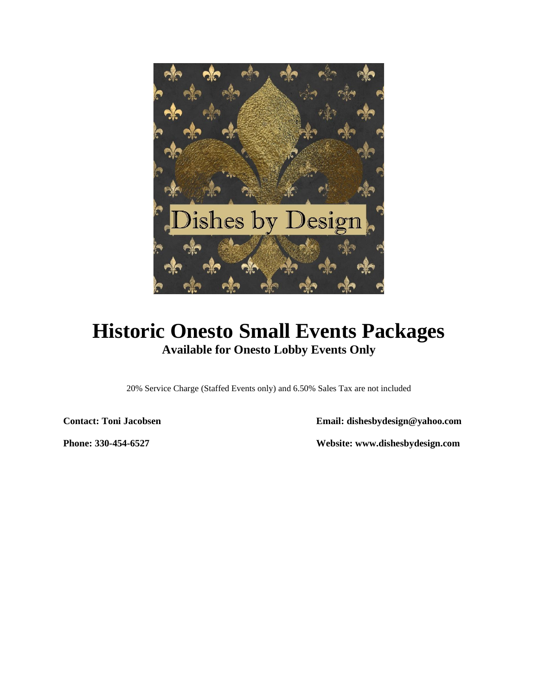

# **Historic Onesto Small Events Packages Available for Onesto Lobby Events Only**

20% Service Charge (Staffed Events only) and 6.50% Sales Tax are not included

**Contact: Toni Jacobsen Email: dishesbydesign@yahoo.com**

**Phone: 330-454-6527 Website: www.dishesbydesign.com**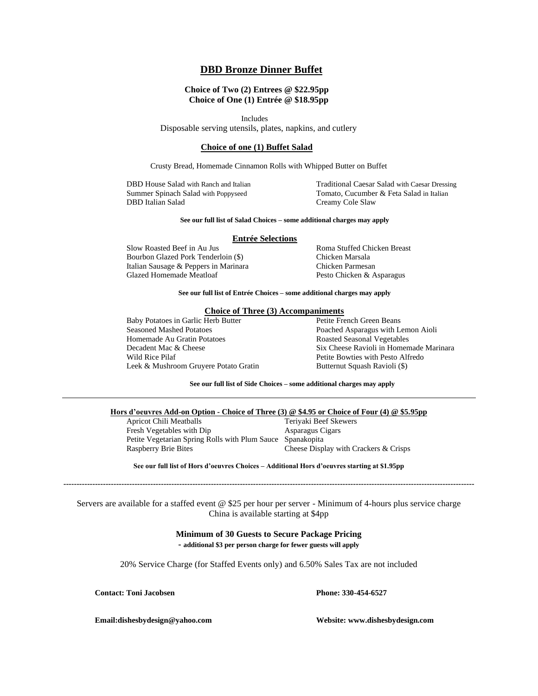### **DBD Bronze Dinner Buffet**

#### **Choice of Two (2) Entrees @ \$22.95pp Choice of One (1) Entrée @ \$18.95pp**

Includes

Disposable serving utensils, plates, napkins, and cutlery

#### **Choice of one (1) Buffet Salad**

Crusty Bread, Homemade Cinnamon Rolls with Whipped Butter on Buffet

DBD House Salad with Ranch and Italian Traditional Caesar Salad with Caesar Dressing Summer Spinach Salad with Poppyseed Tomato, Cucumber & Feta Salad in Italian<br>
DBD Italian Salad Creamy Cole Slaw Creamy Cole Slaw

#### **See our full list of Salad Choices – some additional charges may apply**

#### **Entrée Selections**

Slow Roasted Beef in Au Jus Roma Stuffed Chicken Breast Bourbon Glazed Pork Tenderloin (\$) Chicken Marsala Italian Sausage & Peppers in Marinara Chicken Parmesan Glazed Homemade Meatloaf Pesto Chicken & Asparagus

**See our full list of Entrée Choices – some additional charges may apply**

#### **Choice of Three (3) Accompaniments**

Baby Potatoes in Garlic Herb Butter Petite French Green Beans Seasoned Mashed Potatoes Poached Asparagus with Lemon Aioli Homemade Au Gratin Potatoes **Roasted Seasonal Vegetables** Wild Rice Pilaf Petite Bowties with Pesto Alfredo Leek & Mushroom Gruyere Potato Gratin Butternut Squash Ravioli (\$)

Decadent Mac & Cheese Six Cheese Ravioli in Homemade Marinara

**See our full list of Side Choices – some additional charges may apply**

# **Hors d'oeuvres Add-on Option - Choice of Three (3) @ \$4.95 or Choice of Four (4) @ \$5.95pp**

Apricot Chili Meatballs Fresh Vegetables with Dip Asparagus Cigars Petite Vegetarian Spring Rolls with Plum Sauce Spanakopita Raspberry Brie Bites Cheese Display with Crackers & Crisps

**See our full list of Hors d'oeuvres Choices – Additional Hors d'oeuvres starting at \$1.95pp ------------------------------------------------------------------------------------------------------------------------------------------------------------**

Servers are available for a staffed event @ \$25 per hour per server - Minimum of 4-hours plus service charge China is available starting at \$4pp

#### **Minimum of 30 Guests to Secure Package Pricing - additional \$3 per person charge for fewer guests will apply**

20% Service Charge (for Staffed Events only) and 6.50% Sales Tax are not included

**Contact: Toni Jacobsen Phone: 330-454-6527**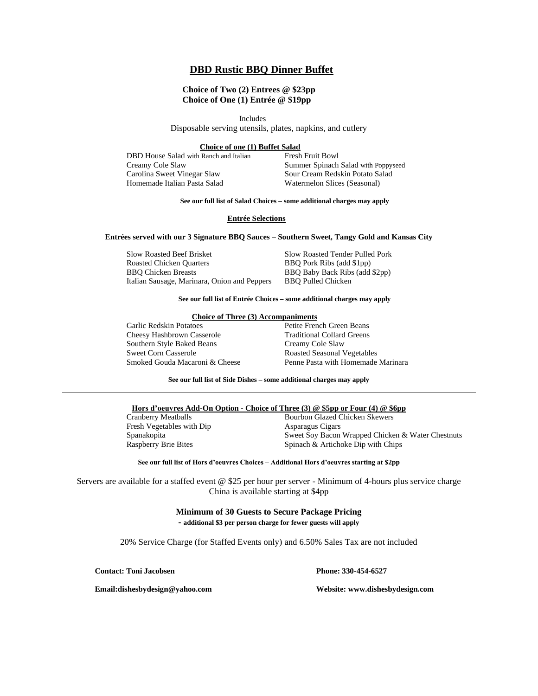### **DBD Rustic BBQ Dinner Buffet**

#### **Choice of Two (2) Entrees @ \$23pp Choice of One (1) Entrée @ \$19pp**

Includes

Disposable serving utensils, plates, napkins, and cutlery

#### **Choice of one (1) Buffet Salad**

DBD House Salad with Ranch and Italian Fresh Fruit Bowl<br>Creamy Cole Slaw Summer Spinach Carolina Sweet Vinegar Slaw Sour Cream Redskin Potato Salad Homemade Italian Pasta Salad Watermelon Slices (Seasonal)

Summer Spinach Salad with Poppyseed

#### **See our full list of Salad Choices – some additional charges may apply**

#### **Entrée Selections**

#### **Entrées served with our 3 Signature BBQ Sauces – Southern Sweet, Tangy Gold and Kansas City**

Slow Roasted Beef Brisket Slow Roasted Tender Pulled Pork Roasted Chicken Quarters BBQ Pork Ribs (add \$1pp) BBQ Chicken Breasts BBQ Baby Back Ribs (add \$2pp) Italian Sausage, Marinara, Onion and Peppers BBQ Pulled Chicken

#### **See our full list of Entrée Choices – some additional charges may apply**

#### **Choice of Three (3) Accompaniments**

Garlic Redskin Potatoes **Petite French Green Beans** Cheesy Hashbrown Casserole Traditional Collard Greens Southern Style Baked Beans Creamy Cole Slaw Sweet Corn Casserole **Roasted Seasonal Vegetables** 

Smoked Gouda Macaroni & Cheese Penne Pasta with Homemade Marinara

**See our full list of Side Dishes – some additional charges may apply**

#### **Hors d'oeuvres Add-On Option - Choice of Three (3) @ \$5pp or Four (4) @ \$6pp**

Fresh Vegetables with Dip Asparagus Cigars<br>Spanakopita Sweet Soy Bacon

# Cranberry Meatballs Bourbon Glazed Chicken Skewers Spanakopita Sweet Soy Bacon Wrapped Chicken & Water Chestnuts<br>
Raspberry Brie Bites Spinach & Artichoke Dip with Chips Spinach & Artichoke Dip with Chips

#### **See our full list of Hors d'oeuvres Choices – Additional Hors d'oeuvres starting at \$2pp**

Servers are available for a staffed event @ \$25 per hour per server - Minimum of 4-hours plus service charge China is available starting at \$4pp

#### **Minimum of 30 Guests to Secure Package Pricing - additional \$3 per person charge for fewer guests will apply**

20% Service Charge (for Staffed Events only) and 6.50% Sales Tax are not included

**Contact: Toni Jacobsen Phone: 330-454-6527**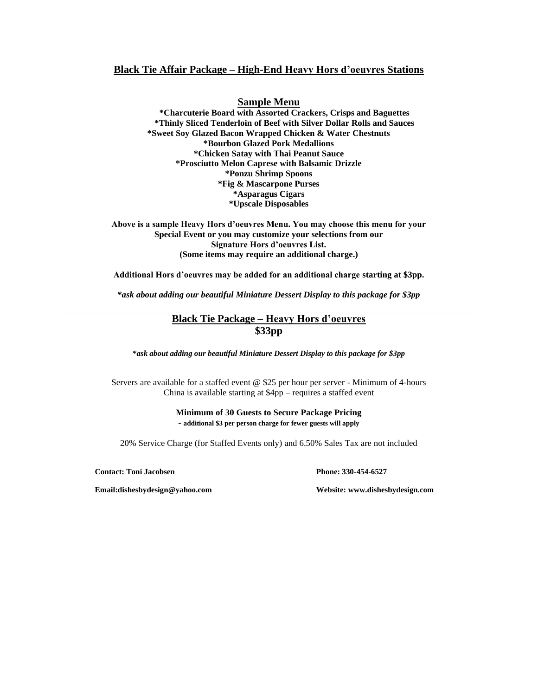# **Black Tie Affair Package – High-End Heavy Hors d'oeuvres Stations**

### **Sample Menu**

**\*Charcuterie Board with Assorted Crackers, Crisps and Baguettes \*Thinly Sliced Tenderloin of Beef with Silver Dollar Rolls and Sauces \*Sweet Soy Glazed Bacon Wrapped Chicken & Water Chestnuts \*Bourbon Glazed Pork Medallions \*Chicken Satay with Thai Peanut Sauce \*Prosciutto Melon Caprese with Balsamic Drizzle \*Ponzu Shrimp Spoons \*Fig & Mascarpone Purses \*Asparagus Cigars \*Upscale Disposables**

**Above is a sample Heavy Hors d'oeuvres Menu. You may choose this menu for your Special Event or you may customize your selections from our Signature Hors d'oeuvres List. (Some items may require an additional charge.)**

**Additional Hors d'oeuvres may be added for an additional charge starting at \$3pp.**

*\*ask about adding our beautiful Miniature Dessert Display to this package for \$3pp*

# **Black Tie Package – Heavy Hors d'oeuvres \$33pp**

*\*ask about adding our beautiful Miniature Dessert Display to this package for \$3pp*

Servers are available for a staffed event @ \$25 per hour per server - Minimum of 4-hours China is available starting at \$4pp – requires a staffed event

> **Minimum of 30 Guests to Secure Package Pricing - additional \$3 per person charge for fewer guests will apply**

20% Service Charge (for Staffed Events only) and 6.50% Sales Tax are not included

**Contact: Toni Jacobsen Phone: 330-454-6527**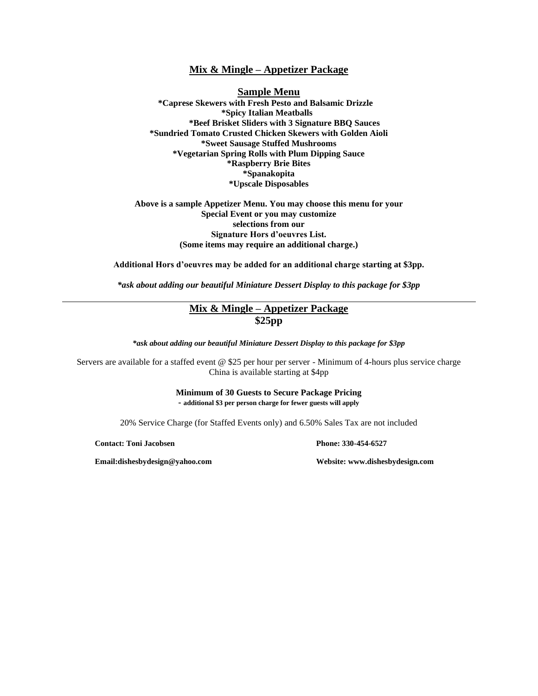## **Mix & Mingle – Appetizer Package**

**Sample Menu \*Caprese Skewers with Fresh Pesto and Balsamic Drizzle \*Spicy Italian Meatballs \*Beef Brisket Sliders with 3 Signature BBQ Sauces \*Sundried Tomato Crusted Chicken Skewers with Golden Aioli \*Sweet Sausage Stuffed Mushrooms \*Vegetarian Spring Rolls with Plum Dipping Sauce \*Raspberry Brie Bites \*Spanakopita \*Upscale Disposables**

### **Above is a sample Appetizer Menu. You may choose this menu for your Special Event or you may customize selections from our Signature Hors d'oeuvres List. (Some items may require an additional charge.)**

**Additional Hors d'oeuvres may be added for an additional charge starting at \$3pp.**

*\*ask about adding our beautiful Miniature Dessert Display to this package for \$3pp*

# **Mix & Mingle – Appetizer Package \$25pp**

*\*ask about adding our beautiful Miniature Dessert Display to this package for \$3pp*

Servers are available for a staffed event @ \$25 per hour per server - Minimum of 4-hours plus service charge China is available starting at \$4pp

> **Minimum of 30 Guests to Secure Package Pricing - additional \$3 per person charge for fewer guests will apply**

20% Service Charge (for Staffed Events only) and 6.50% Sales Tax are not included

**Contact: Toni Jacobsen Phone: 330-454-6527**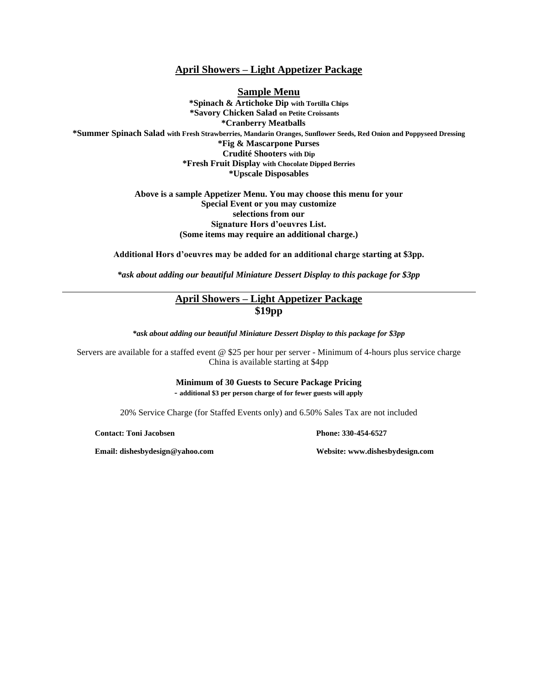## **April Showers – Light Appetizer Package**

**Sample Menu \*Spinach & Artichoke Dip with Tortilla Chips \*Savory Chicken Salad on Petite Croissants \*Cranberry Meatballs \*Summer Spinach Salad with Fresh Strawberries, Mandarin Oranges, Sunflower Seeds, Red Onion and Poppyseed Dressing \*Fig & Mascarpone Purses Crudité Shooters with Dip \*Fresh Fruit Display with Chocolate Dipped Berries \*Upscale Disposables**

> **Above is a sample Appetizer Menu. You may choose this menu for your Special Event or you may customize selections from our Signature Hors d'oeuvres List. (Some items may require an additional charge.)**

**Additional Hors d'oeuvres may be added for an additional charge starting at \$3pp.**

*\*ask about adding our beautiful Miniature Dessert Display to this package for \$3pp*

# **April Showers – Light Appetizer Package \$19pp**

*\*ask about adding our beautiful Miniature Dessert Display to this package for \$3pp*

Servers are available for a staffed event @ \$25 per hour per server - Minimum of 4-hours plus service charge China is available starting at \$4pp

> **Minimum of 30 Guests to Secure Package Pricing - additional \$3 per person charge of for fewer guests will apply**

20% Service Charge (for Staffed Events only) and 6.50% Sales Tax are not included

**Contact: Toni Jacobsen Phone: 330-454-6527**